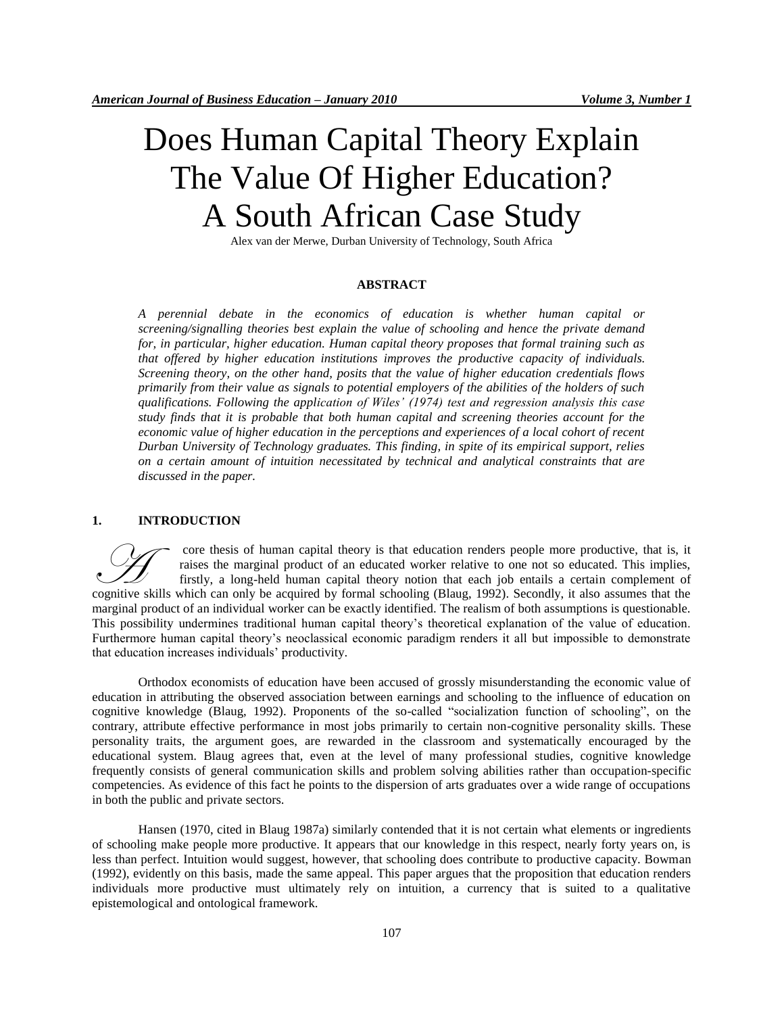# Does Human Capital Theory Explain The Value Of Higher Education? A South African Case Study

Alex van der Merwe, Durban University of Technology, South Africa

# **ABSTRACT**

*A perennial debate in the economics of education is whether human capital or screening/signalling theories best explain the value of schooling and hence the private demand for, in particular, higher education. Human capital theory proposes that formal training such as that offered by higher education institutions improves the productive capacity of individuals. Screening theory, on the other hand, posits that the value of higher education credentials flows primarily from their value as signals to potential employers of the abilities of the holders of such qualifications. Following the application of Wiles' (1974) test and regression analysis this case study finds that it is probable that both human capital and screening theories account for the economic value of higher education in the perceptions and experiences of a local cohort of recent Durban University of Technology graduates. This finding, in spite of its empirical support, relies on a certain amount of intuition necessitated by technical and analytical constraints that are discussed in the paper.*

### **1. INTRODUCTION**

core thesis of human capital theory is that education renders people more productive, that is, it raises the marginal product of an educated worker relative to one not so educated. This implies, firstly, a long-held human capital theory notion that each job entails a certain complement of core thesis of human capital theory is that education renders people more productive, that is, it raises the marginal product of an educated worker relative to one not so educated. This implies, firstly, a long-held human marginal product of an individual worker can be exactly identified. The realism of both assumptions is questionable. This possibility undermines traditional human capital theory's theoretical explanation of the value of education. Furthermore human capital theory's neoclassical economic paradigm renders it all but impossible to demonstrate that education increases individuals' productivity.

Orthodox economists of education have been accused of grossly misunderstanding the economic value of education in attributing the observed association between earnings and schooling to the influence of education on cognitive knowledge (Blaug, 1992). Proponents of the so-called "socialization function of schooling", on the contrary, attribute effective performance in most jobs primarily to certain non-cognitive personality skills. These personality traits, the argument goes, are rewarded in the classroom and systematically encouraged by the educational system. Blaug agrees that, even at the level of many professional studies, cognitive knowledge frequently consists of general communication skills and problem solving abilities rather than occupation-specific competencies. As evidence of this fact he points to the dispersion of arts graduates over a wide range of occupations in both the public and private sectors.

Hansen (1970, cited in Blaug 1987a) similarly contended that it is not certain what elements or ingredients of schooling make people more productive. It appears that our knowledge in this respect, nearly forty years on, is less than perfect. Intuition would suggest, however, that schooling does contribute to productive capacity. Bowman (1992), evidently on this basis, made the same appeal. This paper argues that the proposition that education renders individuals more productive must ultimately rely on intuition, a currency that is suited to a qualitative epistemological and ontological framework.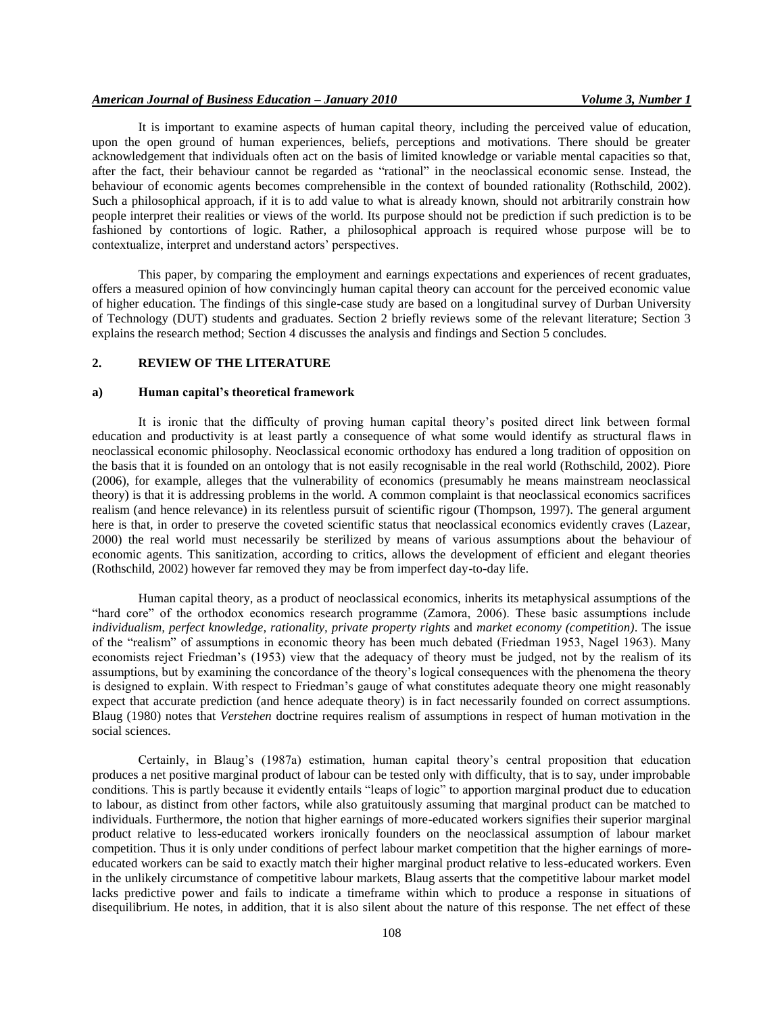It is important to examine aspects of human capital theory, including the perceived value of education, upon the open ground of human experiences, beliefs, perceptions and motivations. There should be greater acknowledgement that individuals often act on the basis of limited knowledge or variable mental capacities so that, after the fact, their behaviour cannot be regarded as "rational" in the neoclassical economic sense. Instead, the behaviour of economic agents becomes comprehensible in the context of bounded rationality (Rothschild, 2002). Such a philosophical approach, if it is to add value to what is already known, should not arbitrarily constrain how people interpret their realities or views of the world. Its purpose should not be prediction if such prediction is to be fashioned by contortions of logic. Rather, a philosophical approach is required whose purpose will be to contextualize, interpret and understand actors' perspectives.

This paper, by comparing the employment and earnings expectations and experiences of recent graduates, offers a measured opinion of how convincingly human capital theory can account for the perceived economic value of higher education. The findings of this single-case study are based on a longitudinal survey of Durban University of Technology (DUT) students and graduates. Section 2 briefly reviews some of the relevant literature; Section 3 explains the research method; Section 4 discusses the analysis and findings and Section 5 concludes.

## **2. REVIEW OF THE LITERATURE**

#### **a) Human capital's theoretical framework**

It is ironic that the difficulty of proving human capital theory's posited direct link between formal education and productivity is at least partly a consequence of what some would identify as structural flaws in neoclassical economic philosophy. Neoclassical economic orthodoxy has endured a long tradition of opposition on the basis that it is founded on an ontology that is not easily recognisable in the real world (Rothschild, 2002). Piore (2006), for example, alleges that the vulnerability of economics (presumably he means mainstream neoclassical theory) is that it is addressing problems in the world. A common complaint is that neoclassical economics sacrifices realism (and hence relevance) in its relentless pursuit of scientific rigour (Thompson, 1997). The general argument here is that, in order to preserve the coveted scientific status that neoclassical economics evidently craves (Lazear, 2000) the real world must necessarily be sterilized by means of various assumptions about the behaviour of economic agents. This sanitization, according to critics, allows the development of efficient and elegant theories (Rothschild, 2002) however far removed they may be from imperfect day-to-day life.

Human capital theory, as a product of neoclassical economics, inherits its metaphysical assumptions of the "hard core" of the orthodox economics research programme (Zamora, 2006). These basic assumptions include *individualism, perfect knowledge, rationality, private property rights* and *market economy (competition)*. The issue of the "realism" of assumptions in economic theory has been much debated (Friedman 1953, Nagel 1963). Many economists reject Friedman's (1953) view that the adequacy of theory must be judged, not by the realism of its assumptions, but by examining the concordance of the theory's logical consequences with the phenomena the theory is designed to explain. With respect to Friedman's gauge of what constitutes adequate theory one might reasonably expect that accurate prediction (and hence adequate theory) is in fact necessarily founded on correct assumptions. Blaug (1980) notes that *Verstehen* doctrine requires realism of assumptions in respect of human motivation in the social sciences.

Certainly, in Blaug's (1987a) estimation, human capital theory's central proposition that education produces a net positive marginal product of labour can be tested only with difficulty, that is to say, under improbable conditions. This is partly because it evidently entails "leaps of logic" to apportion marginal product due to education to labour, as distinct from other factors, while also gratuitously assuming that marginal product can be matched to individuals. Furthermore, the notion that higher earnings of more-educated workers signifies their superior marginal product relative to less-educated workers ironically founders on the neoclassical assumption of labour market competition. Thus it is only under conditions of perfect labour market competition that the higher earnings of moreeducated workers can be said to exactly match their higher marginal product relative to less-educated workers. Even in the unlikely circumstance of competitive labour markets, Blaug asserts that the competitive labour market model lacks predictive power and fails to indicate a timeframe within which to produce a response in situations of disequilibrium. He notes, in addition, that it is also silent about the nature of this response. The net effect of these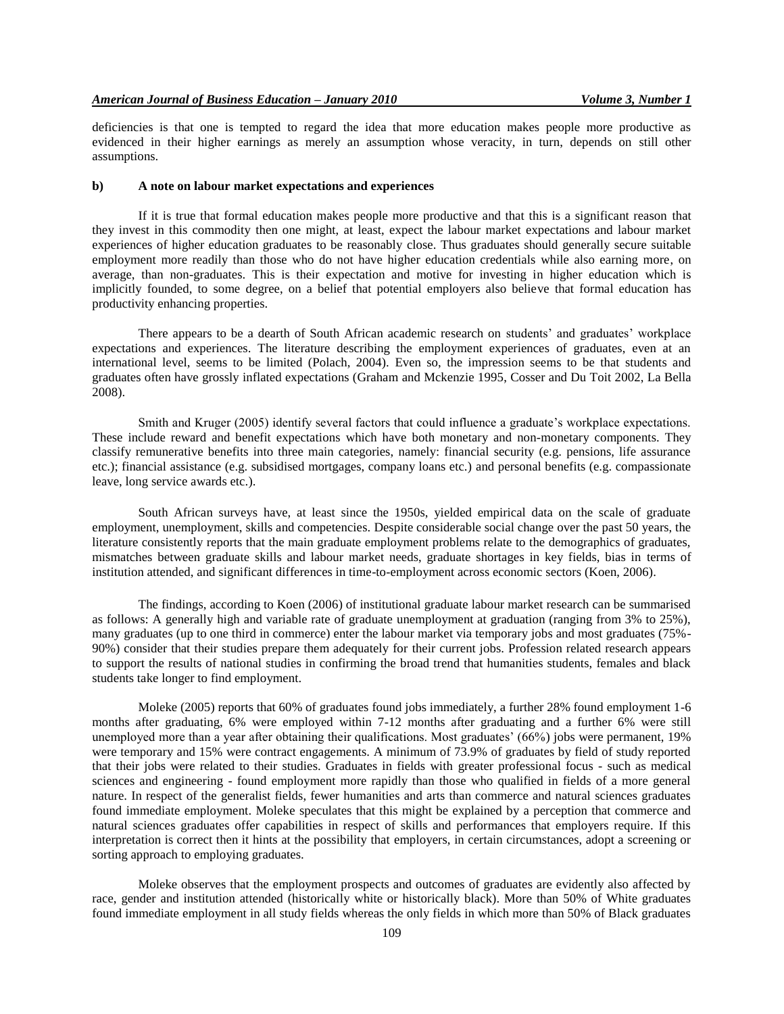deficiencies is that one is tempted to regard the idea that more education makes people more productive as evidenced in their higher earnings as merely an assumption whose veracity, in turn, depends on still other assumptions.

#### **b) A note on labour market expectations and experiences**

If it is true that formal education makes people more productive and that this is a significant reason that they invest in this commodity then one might, at least, expect the labour market expectations and labour market experiences of higher education graduates to be reasonably close. Thus graduates should generally secure suitable employment more readily than those who do not have higher education credentials while also earning more, on average, than non-graduates. This is their expectation and motive for investing in higher education which is implicitly founded, to some degree, on a belief that potential employers also believe that formal education has productivity enhancing properties.

There appears to be a dearth of South African academic research on students' and graduates' workplace expectations and experiences. The literature describing the employment experiences of graduates, even at an international level, seems to be limited (Polach, 2004). Even so, the impression seems to be that students and graduates often have grossly inflated expectations (Graham and Mckenzie 1995, Cosser and Du Toit 2002, La Bella 2008).

Smith and Kruger (2005) identify several factors that could influence a graduate's workplace expectations. These include reward and benefit expectations which have both monetary and non-monetary components. They classify remunerative benefits into three main categories, namely: financial security (e.g. pensions, life assurance etc.); financial assistance (e.g. subsidised mortgages, company loans etc.) and personal benefits (e.g. compassionate leave, long service awards etc.).

South African surveys have, at least since the 1950s, yielded empirical data on the scale of graduate employment, unemployment, skills and competencies. Despite considerable social change over the past 50 years, the literature consistently reports that the main graduate employment problems relate to the demographics of graduates, mismatches between graduate skills and labour market needs, graduate shortages in key fields, bias in terms of institution attended, and significant differences in time-to-employment across economic sectors (Koen, 2006).

The findings, according to Koen (2006) of institutional graduate labour market research can be summarised as follows: A generally high and variable rate of graduate unemployment at graduation (ranging from 3% to 25%), many graduates (up to one third in commerce) enter the labour market via temporary jobs and most graduates (75%- 90%) consider that their studies prepare them adequately for their current jobs. Profession related research appears to support the results of national studies in confirming the broad trend that humanities students, females and black students take longer to find employment.

Moleke (2005) reports that 60% of graduates found jobs immediately, a further 28% found employment 1-6 months after graduating, 6% were employed within 7-12 months after graduating and a further 6% were still unemployed more than a year after obtaining their qualifications. Most graduates' (66%) jobs were permanent, 19% were temporary and 15% were contract engagements. A minimum of 73.9% of graduates by field of study reported that their jobs were related to their studies. Graduates in fields with greater professional focus - such as medical sciences and engineering - found employment more rapidly than those who qualified in fields of a more general nature. In respect of the generalist fields, fewer humanities and arts than commerce and natural sciences graduates found immediate employment. Moleke speculates that this might be explained by a perception that commerce and natural sciences graduates offer capabilities in respect of skills and performances that employers require. If this interpretation is correct then it hints at the possibility that employers, in certain circumstances, adopt a screening or sorting approach to employing graduates.

Moleke observes that the employment prospects and outcomes of graduates are evidently also affected by race, gender and institution attended (historically white or historically black). More than 50% of White graduates found immediate employment in all study fields whereas the only fields in which more than 50% of Black graduates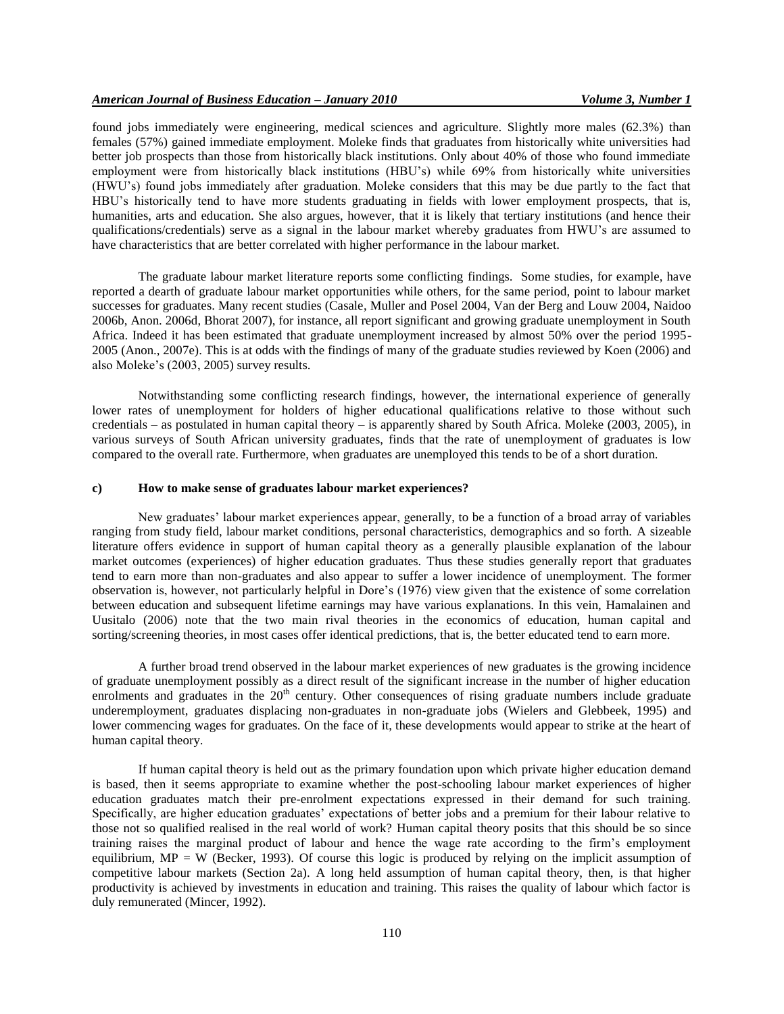found jobs immediately were engineering, medical sciences and agriculture. Slightly more males (62.3%) than females (57%) gained immediate employment. Moleke finds that graduates from historically white universities had better job prospects than those from historically black institutions. Only about 40% of those who found immediate employment were from historically black institutions (HBU's) while 69% from historically white universities (HWU's) found jobs immediately after graduation. Moleke considers that this may be due partly to the fact that HBU's historically tend to have more students graduating in fields with lower employment prospects, that is, humanities, arts and education. She also argues, however, that it is likely that tertiary institutions (and hence their qualifications/credentials) serve as a signal in the labour market whereby graduates from HWU's are assumed to have characteristics that are better correlated with higher performance in the labour market.

The graduate labour market literature reports some conflicting findings. Some studies, for example, have reported a dearth of graduate labour market opportunities while others, for the same period, point to labour market successes for graduates. Many recent studies (Casale, Muller and Posel 2004, Van der Berg and Louw 2004, Naidoo 2006b, Anon. 2006d, Bhorat 2007), for instance, all report significant and growing graduate unemployment in South Africa. Indeed it has been estimated that graduate unemployment increased by almost 50% over the period 1995- 2005 (Anon., 2007e). This is at odds with the findings of many of the graduate studies reviewed by Koen (2006) and also Moleke's (2003, 2005) survey results.

Notwithstanding some conflicting research findings, however, the international experience of generally lower rates of unemployment for holders of higher educational qualifications relative to those without such credentials – as postulated in human capital theory – is apparently shared by South Africa. Moleke (2003, 2005), in various surveys of South African university graduates, finds that the rate of unemployment of graduates is low compared to the overall rate. Furthermore, when graduates are unemployed this tends to be of a short duration.

### **c) How to make sense of graduates labour market experiences?**

New graduates' labour market experiences appear, generally, to be a function of a broad array of variables ranging from study field, labour market conditions, personal characteristics, demographics and so forth. A sizeable literature offers evidence in support of human capital theory as a generally plausible explanation of the labour market outcomes (experiences) of higher education graduates. Thus these studies generally report that graduates tend to earn more than non-graduates and also appear to suffer a lower incidence of unemployment. The former observation is, however, not particularly helpful in Dore's (1976) view given that the existence of some correlation between education and subsequent lifetime earnings may have various explanations. In this vein, Hamalainen and Uusitalo (2006) note that the two main rival theories in the economics of education, human capital and sorting/screening theories, in most cases offer identical predictions, that is, the better educated tend to earn more.

A further broad trend observed in the labour market experiences of new graduates is the growing incidence of graduate unemployment possibly as a direct result of the significant increase in the number of higher education enrolments and graduates in the  $20<sup>th</sup>$  century. Other consequences of rising graduate numbers include graduate underemployment, graduates displacing non-graduates in non-graduate jobs (Wielers and Glebbeek, 1995) and lower commencing wages for graduates. On the face of it, these developments would appear to strike at the heart of human capital theory.

If human capital theory is held out as the primary foundation upon which private higher education demand is based, then it seems appropriate to examine whether the post-schooling labour market experiences of higher education graduates match their pre-enrolment expectations expressed in their demand for such training. Specifically, are higher education graduates' expectations of better jobs and a premium for their labour relative to those not so qualified realised in the real world of work? Human capital theory posits that this should be so since training raises the marginal product of labour and hence the wage rate according to the firm's employment equilibrium, MP = W (Becker, 1993). Of course this logic is produced by relying on the implicit assumption of competitive labour markets (Section 2a). A long held assumption of human capital theory, then, is that higher productivity is achieved by investments in education and training. This raises the quality of labour which factor is duly remunerated (Mincer, 1992).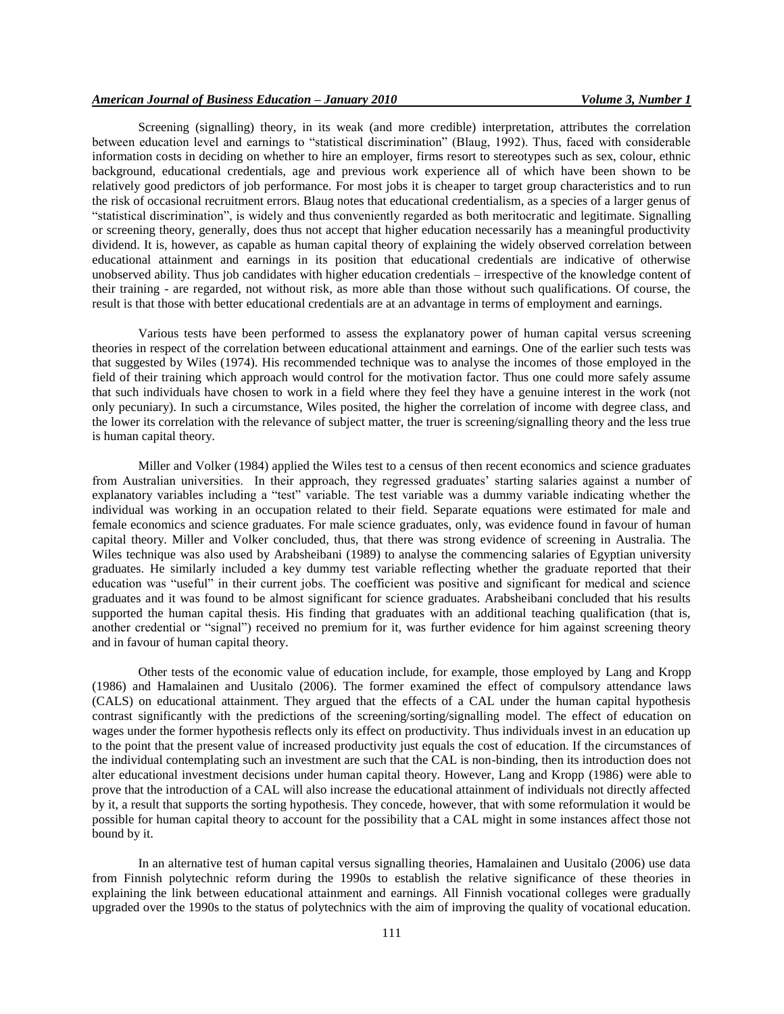Screening (signalling) theory, in its weak (and more credible) interpretation, attributes the correlation between education level and earnings to "statistical discrimination" (Blaug, 1992). Thus, faced with considerable information costs in deciding on whether to hire an employer, firms resort to stereotypes such as sex, colour, ethnic background, educational credentials, age and previous work experience all of which have been shown to be relatively good predictors of job performance. For most jobs it is cheaper to target group characteristics and to run the risk of occasional recruitment errors. Blaug notes that educational credentialism, as a species of a larger genus of "statistical discrimination", is widely and thus conveniently regarded as both meritocratic and legitimate. Signalling or screening theory, generally, does thus not accept that higher education necessarily has a meaningful productivity dividend. It is, however, as capable as human capital theory of explaining the widely observed correlation between educational attainment and earnings in its position that educational credentials are indicative of otherwise unobserved ability. Thus job candidates with higher education credentials – irrespective of the knowledge content of their training - are regarded, not without risk, as more able than those without such qualifications. Of course, the result is that those with better educational credentials are at an advantage in terms of employment and earnings.

Various tests have been performed to assess the explanatory power of human capital versus screening theories in respect of the correlation between educational attainment and earnings. One of the earlier such tests was that suggested by Wiles (1974). His recommended technique was to analyse the incomes of those employed in the field of their training which approach would control for the motivation factor. Thus one could more safely assume that such individuals have chosen to work in a field where they feel they have a genuine interest in the work (not only pecuniary). In such a circumstance, Wiles posited, the higher the correlation of income with degree class, and the lower its correlation with the relevance of subject matter, the truer is screening/signalling theory and the less true is human capital theory.

Miller and Volker (1984) applied the Wiles test to a census of then recent economics and science graduates from Australian universities. In their approach, they regressed graduates' starting salaries against a number of explanatory variables including a "test" variable. The test variable was a dummy variable indicating whether the individual was working in an occupation related to their field. Separate equations were estimated for male and female economics and science graduates. For male science graduates, only, was evidence found in favour of human capital theory. Miller and Volker concluded, thus, that there was strong evidence of screening in Australia. The Wiles technique was also used by Arabsheibani (1989) to analyse the commencing salaries of Egyptian university graduates. He similarly included a key dummy test variable reflecting whether the graduate reported that their education was "useful" in their current jobs. The coefficient was positive and significant for medical and science graduates and it was found to be almost significant for science graduates. Arabsheibani concluded that his results supported the human capital thesis. His finding that graduates with an additional teaching qualification (that is, another credential or "signal") received no premium for it, was further evidence for him against screening theory and in favour of human capital theory.

Other tests of the economic value of education include, for example, those employed by Lang and Kropp (1986) and Hamalainen and Uusitalo (2006). The former examined the effect of compulsory attendance laws (CALS) on educational attainment. They argued that the effects of a CAL under the human capital hypothesis contrast significantly with the predictions of the screening/sorting/signalling model. The effect of education on wages under the former hypothesis reflects only its effect on productivity. Thus individuals invest in an education up to the point that the present value of increased productivity just equals the cost of education. If the circumstances of the individual contemplating such an investment are such that the CAL is non-binding, then its introduction does not alter educational investment decisions under human capital theory. However, Lang and Kropp (1986) were able to prove that the introduction of a CAL will also increase the educational attainment of individuals not directly affected by it, a result that supports the sorting hypothesis. They concede, however, that with some reformulation it would be possible for human capital theory to account for the possibility that a CAL might in some instances affect those not bound by it.

In an alternative test of human capital versus signalling theories, Hamalainen and Uusitalo (2006) use data from Finnish polytechnic reform during the 1990s to establish the relative significance of these theories in explaining the link between educational attainment and earnings. All Finnish vocational colleges were gradually upgraded over the 1990s to the status of polytechnics with the aim of improving the quality of vocational education.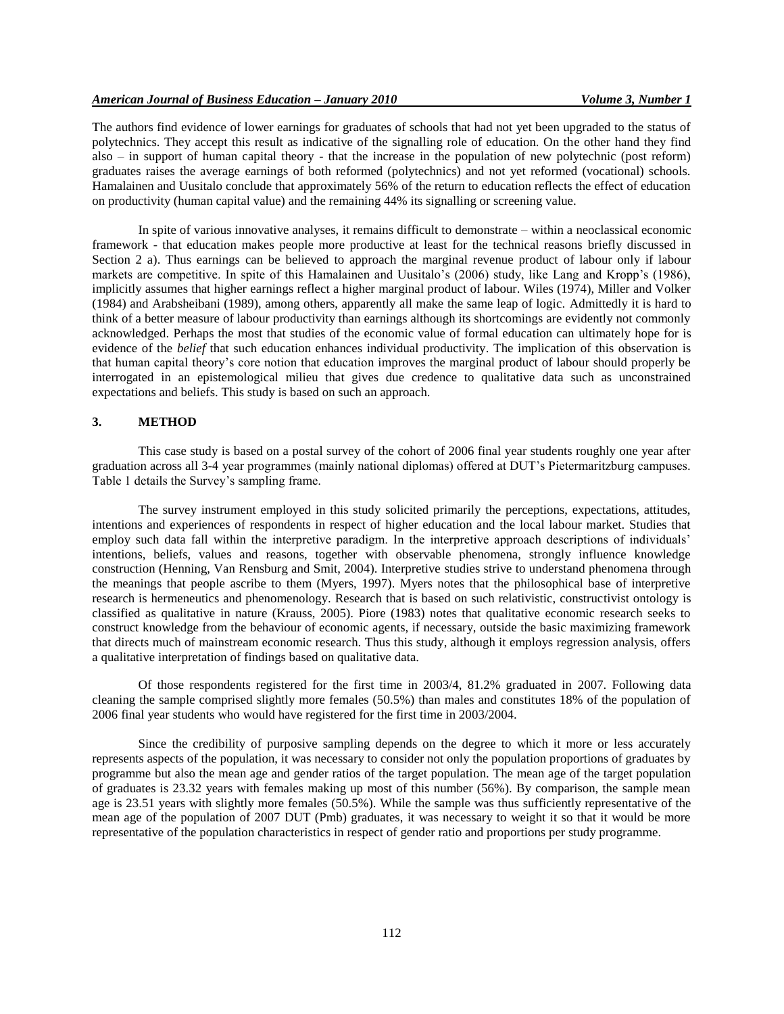The authors find evidence of lower earnings for graduates of schools that had not yet been upgraded to the status of polytechnics. They accept this result as indicative of the signalling role of education. On the other hand they find also – in support of human capital theory - that the increase in the population of new polytechnic (post reform) graduates raises the average earnings of both reformed (polytechnics) and not yet reformed (vocational) schools. Hamalainen and Uusitalo conclude that approximately 56% of the return to education reflects the effect of education on productivity (human capital value) and the remaining 44% its signalling or screening value.

In spite of various innovative analyses, it remains difficult to demonstrate – within a neoclassical economic framework - that education makes people more productive at least for the technical reasons briefly discussed in Section 2 a). Thus earnings can be believed to approach the marginal revenue product of labour only if labour markets are competitive. In spite of this Hamalainen and Uusitalo's (2006) study, like Lang and Kropp's (1986), implicitly assumes that higher earnings reflect a higher marginal product of labour. Wiles (1974), Miller and Volker (1984) and Arabsheibani (1989), among others, apparently all make the same leap of logic. Admittedly it is hard to think of a better measure of labour productivity than earnings although its shortcomings are evidently not commonly acknowledged. Perhaps the most that studies of the economic value of formal education can ultimately hope for is evidence of the *belief* that such education enhances individual productivity. The implication of this observation is that human capital theory's core notion that education improves the marginal product of labour should properly be interrogated in an epistemological milieu that gives due credence to qualitative data such as unconstrained expectations and beliefs. This study is based on such an approach.

# **3. METHOD**

This case study is based on a postal survey of the cohort of 2006 final year students roughly one year after graduation across all 3-4 year programmes (mainly national diplomas) offered at DUT's Pietermaritzburg campuses. Table 1 details the Survey's sampling frame.

The survey instrument employed in this study solicited primarily the perceptions, expectations, attitudes, intentions and experiences of respondents in respect of higher education and the local labour market. Studies that employ such data fall within the interpretive paradigm. In the interpretive approach descriptions of individuals' intentions, beliefs, values and reasons, together with observable phenomena, strongly influence knowledge construction (Henning, Van Rensburg and Smit, 2004). Interpretive studies strive to understand phenomena through the meanings that people ascribe to them (Myers, 1997). Myers notes that the philosophical base of interpretive research is hermeneutics and phenomenology. Research that is based on such relativistic, constructivist ontology is classified as qualitative in nature (Krauss, 2005). Piore (1983) notes that qualitative economic research seeks to construct knowledge from the behaviour of economic agents, if necessary, outside the basic maximizing framework that directs much of mainstream economic research. Thus this study, although it employs regression analysis, offers a qualitative interpretation of findings based on qualitative data.

Of those respondents registered for the first time in 2003/4, 81.2% graduated in 2007. Following data cleaning the sample comprised slightly more females (50.5%) than males and constitutes 18% of the population of 2006 final year students who would have registered for the first time in 2003/2004.

Since the credibility of purposive sampling depends on the degree to which it more or less accurately represents aspects of the population, it was necessary to consider not only the population proportions of graduates by programme but also the mean age and gender ratios of the target population. The mean age of the target population of graduates is 23.32 years with females making up most of this number (56%). By comparison, the sample mean age is 23.51 years with slightly more females (50.5%). While the sample was thus sufficiently representative of the mean age of the population of 2007 DUT (Pmb) graduates, it was necessary to weight it so that it would be more representative of the population characteristics in respect of gender ratio and proportions per study programme.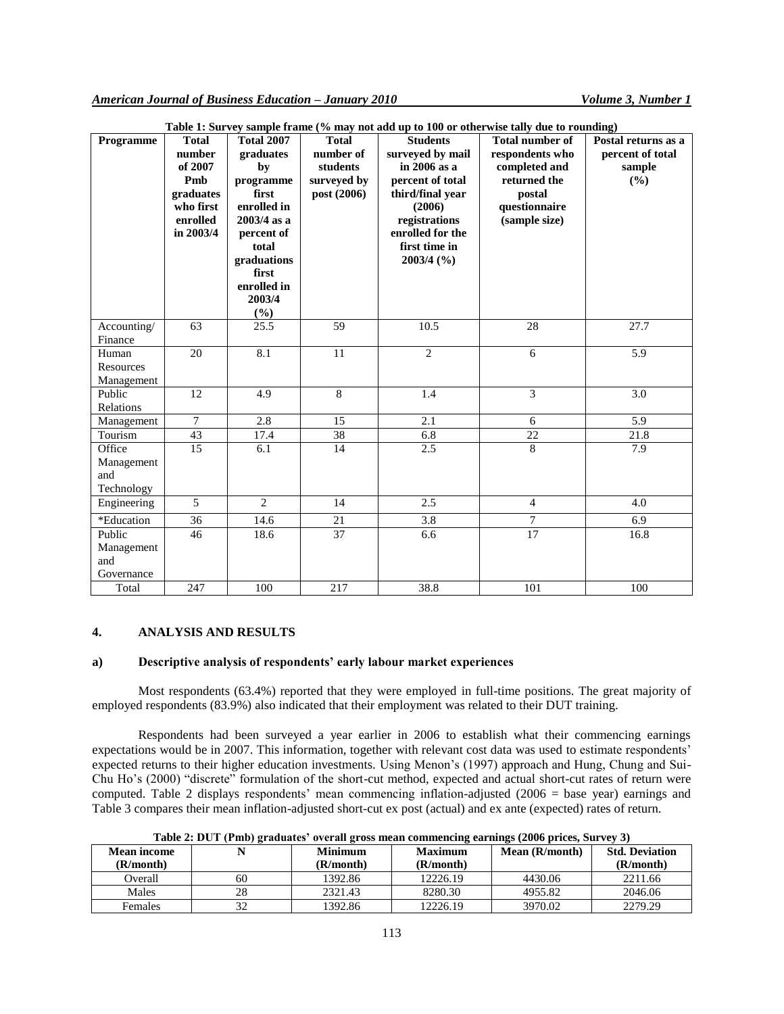| Programme                                 | <b>Total</b><br>number<br>of 2007<br>Pmb<br>graduates<br>who first<br>enrolled<br>in 2003/4 | <b>Total 2007</b><br>graduates<br>by<br>programme<br>first<br>enrolled in<br>$2003/4$ as a<br>percent of<br>total<br>graduations<br>first<br>enrolled in<br>2003/4 | <b>Total</b><br>number of<br>students<br>surveyed by<br>post (2006) | <b>Students</b><br>surveyed by mail<br>$in 2006$ as a<br>percent of total<br>third/final year<br>(2006)<br>registrations<br>enrolled for the<br>first time in<br>$2003/4$ (%) | Table 1. But ver sample frame (70 may not agg up to 100 of other wise tany due to Founding)<br><b>Total number of</b><br>respondents who<br>completed and<br>returned the<br>postal<br>questionnaire<br>(sample size) | Postal returns as a<br>percent of total<br>sample<br>(%) |
|-------------------------------------------|---------------------------------------------------------------------------------------------|--------------------------------------------------------------------------------------------------------------------------------------------------------------------|---------------------------------------------------------------------|-------------------------------------------------------------------------------------------------------------------------------------------------------------------------------|-----------------------------------------------------------------------------------------------------------------------------------------------------------------------------------------------------------------------|----------------------------------------------------------|
| Accounting/                               | 63                                                                                          | (%)<br>25.5                                                                                                                                                        | 59                                                                  | 10.5                                                                                                                                                                          | 28                                                                                                                                                                                                                    | 27.7                                                     |
| Finance                                   |                                                                                             |                                                                                                                                                                    |                                                                     |                                                                                                                                                                               |                                                                                                                                                                                                                       |                                                          |
| Human<br>Resources<br>Management          | 20                                                                                          | 8.1                                                                                                                                                                | 11                                                                  | $\overline{2}$                                                                                                                                                                | 6                                                                                                                                                                                                                     | 5.9                                                      |
| Public<br>Relations                       | 12                                                                                          | 4.9                                                                                                                                                                | 8                                                                   | 1.4                                                                                                                                                                           | 3                                                                                                                                                                                                                     | 3.0                                                      |
| Management                                | $\overline{7}$                                                                              | 2.8                                                                                                                                                                | $\overline{15}$                                                     | $\overline{2.1}$                                                                                                                                                              | 6                                                                                                                                                                                                                     | 5.9                                                      |
| Tourism                                   | 43                                                                                          | 17.4                                                                                                                                                               | 38                                                                  | 6.8                                                                                                                                                                           | 22                                                                                                                                                                                                                    | 21.8                                                     |
| Office<br>Management<br>and<br>Technology | $\overline{15}$                                                                             | 6.1                                                                                                                                                                | 14                                                                  | 2.5                                                                                                                                                                           | $\overline{8}$                                                                                                                                                                                                        | 7.9                                                      |
| Engineering                               | $\overline{5}$                                                                              | $\overline{2}$                                                                                                                                                     | 14                                                                  | 2.5                                                                                                                                                                           | $\overline{4}$                                                                                                                                                                                                        | 4.0                                                      |
| *Education                                | 36                                                                                          | 14.6                                                                                                                                                               | $21\,$                                                              | 3.8                                                                                                                                                                           | $\tau$                                                                                                                                                                                                                | 6.9                                                      |
| Public<br>Management<br>and<br>Governance | 46                                                                                          | 18.6                                                                                                                                                               | 37                                                                  | 6.6                                                                                                                                                                           | $\overline{17}$                                                                                                                                                                                                       | 16.8                                                     |
| Total                                     | 247                                                                                         | 100                                                                                                                                                                | 217                                                                 | 38.8                                                                                                                                                                          | 101                                                                                                                                                                                                                   | 100                                                      |

**Table 1: Survey sample frame (% may not add up to 100 or otherwise tally due to rounding)**

## **4. ANALYSIS AND RESULTS**

### **a) Descriptive analysis of respondents' early labour market experiences**

Most respondents (63.4%) reported that they were employed in full-time positions. The great majority of employed respondents (83.9%) also indicated that their employment was related to their DUT training.

Respondents had been surveyed a year earlier in 2006 to establish what their commencing earnings expectations would be in 2007. This information, together with relevant cost data was used to estimate respondents' expected returns to their higher education investments. Using Menon's (1997) approach and Hung, Chung and Sui-Chu Ho's (2000) "discrete" formulation of the short-cut method, expected and actual short-cut rates of return were computed. Table 2 displays respondents' mean commencing inflation-adjusted (2006 = base year) earnings and Table 3 compares their mean inflation-adjusted short-cut ex post (actual) and ex ante (expected) rates of return.

| <b>Mean income</b><br>(R/month) |    | <b>Minimum</b><br>(R/month) | <b>Maximum</b><br>(R/month) | Mean (R/month) | <b>Std. Deviation</b><br>(R/month) |
|---------------------------------|----|-----------------------------|-----------------------------|----------------|------------------------------------|
| Overall                         | 60 | 1392.86                     | 12226.19                    | 4430.06        | 2211.66                            |
| Males                           | 28 | 2321.43                     | 8280.30                     | 4955.82        | 2046.06                            |
| Females                         | 32 | 1392.86                     | 12226.19                    | 3970.02        | 2279.29                            |

**Table 2: DUT (Pmb) graduates' overall gross mean commencing earnings (2006 prices, Survey 3)**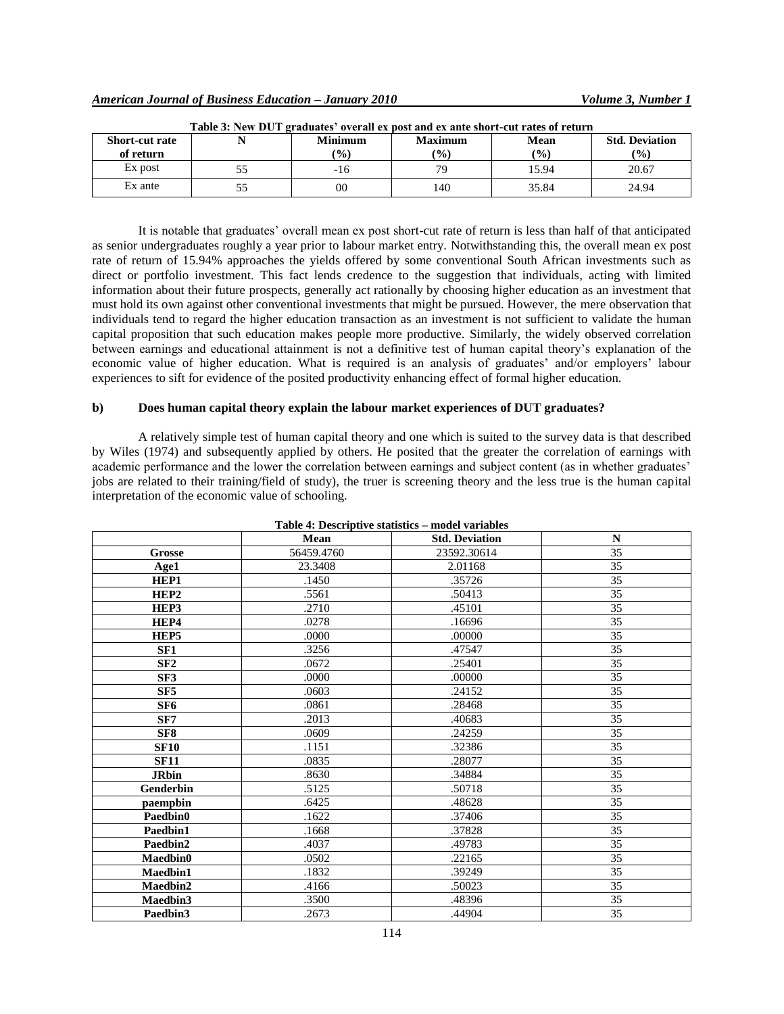| Table 3: New DUT graduates' overall ex post and ex ante short-cut rates of return |  |                |                |       |                       |  |  |
|-----------------------------------------------------------------------------------|--|----------------|----------------|-------|-----------------------|--|--|
| <b>Short-cut rate</b>                                                             |  | <b>Minimum</b> | <b>Maximum</b> | Mean  | <b>Std. Deviation</b> |  |  |
| of return                                                                         |  | $\frac{1}{2}$  | $\frac{1}{2}$  | (%)   | (9/0)                 |  |  |
| Ex post                                                                           |  | -16            | 70             | 15.94 | 20.67                 |  |  |
| Ex ante                                                                           |  | 00             | 140            | 35.84 | 24.94                 |  |  |

**Table 3: New DUT graduates' overall ex post and ex ante short-cut rates of return**

It is notable that graduates' overall mean ex post short-cut rate of return is less than half of that anticipated as senior undergraduates roughly a year prior to labour market entry. Notwithstanding this, the overall mean ex post rate of return of 15.94% approaches the yields offered by some conventional South African investments such as direct or portfolio investment. This fact lends credence to the suggestion that individuals, acting with limited information about their future prospects, generally act rationally by choosing higher education as an investment that must hold its own against other conventional investments that might be pursued. However, the mere observation that individuals tend to regard the higher education transaction as an investment is not sufficient to validate the human capital proposition that such education makes people more productive. Similarly, the widely observed correlation between earnings and educational attainment is not a definitive test of human capital theory's explanation of the economic value of higher education. What is required is an analysis of graduates' and/or employers' labour experiences to sift for evidence of the posited productivity enhancing effect of formal higher education.

# **b) Does human capital theory explain the labour market experiences of DUT graduates?**

A relatively simple test of human capital theory and one which is suited to the survey data is that described by Wiles (1974) and subsequently applied by others. He posited that the greater the correlation of earnings with academic performance and the lower the correlation between earnings and subject content (as in whether graduates' jobs are related to their training/field of study), the truer is screening theory and the less true is the human capital interpretation of the economic value of schooling.

| Table 4: Descriptive statistics – model variables |            |                       |                 |  |  |  |  |
|---------------------------------------------------|------------|-----------------------|-----------------|--|--|--|--|
|                                                   | Mean       | <b>Std. Deviation</b> | $\mathbf N$     |  |  |  |  |
| Grosse                                            | 56459.4760 | 23592.30614           | 35              |  |  |  |  |
| Age1                                              | 23.3408    | 2.01168               | 35              |  |  |  |  |
| HEP1                                              | .1450      | .35726                | 35              |  |  |  |  |
| HEP2                                              | .5561      | .50413                | 35              |  |  |  |  |
| HEP3                                              | .2710      | .45101                | 35              |  |  |  |  |
| HEP4                                              | .0278      | .16696                | 35              |  |  |  |  |
| HEP5                                              | .0000      | .00000                | 35              |  |  |  |  |
| SF <sub>1</sub>                                   | .3256      | .47547                | 35              |  |  |  |  |
| SF2                                               | .0672      | .25401                | 35              |  |  |  |  |
| SF3                                               | .0000      | .00000                | 35              |  |  |  |  |
| SF <sub>5</sub>                                   | .0603      | .24152                | 35              |  |  |  |  |
| SF <sub>6</sub>                                   | .0861      | .28468                | 35              |  |  |  |  |
| SF7                                               | .2013      | .40683                | 35              |  |  |  |  |
| SF <sub>8</sub>                                   | .0609      | .24259                | 35              |  |  |  |  |
| <b>SF10</b>                                       | .1151      | .32386                | 35              |  |  |  |  |
| <b>SF11</b>                                       | .0835      | .28077                | 35              |  |  |  |  |
| <b>JRbin</b>                                      | .8630      | .34884                | 35              |  |  |  |  |
| Genderbin                                         | .5125      | .50718                | 35              |  |  |  |  |
| paempbin                                          | .6425      | .48628                | 35              |  |  |  |  |
| Paedbin0                                          | .1622      | .37406                | 35              |  |  |  |  |
| Paedbin1                                          | .1668      | .37828                | 35              |  |  |  |  |
| Paedbin2                                          | .4037      | .49783                | 35              |  |  |  |  |
| Maedbin0                                          | .0502      | .22165                | $\overline{35}$ |  |  |  |  |
| Maedbin1                                          | .1832      | .39249                | 35              |  |  |  |  |
| Maedbin2                                          | .4166      | .50023                | $\overline{35}$ |  |  |  |  |
| Maedbin3                                          | .3500      | .48396                | 35              |  |  |  |  |
| Paedbin3                                          | .2673      | .44904                | 35              |  |  |  |  |

**Table 4: Descriptive statistics – model variables**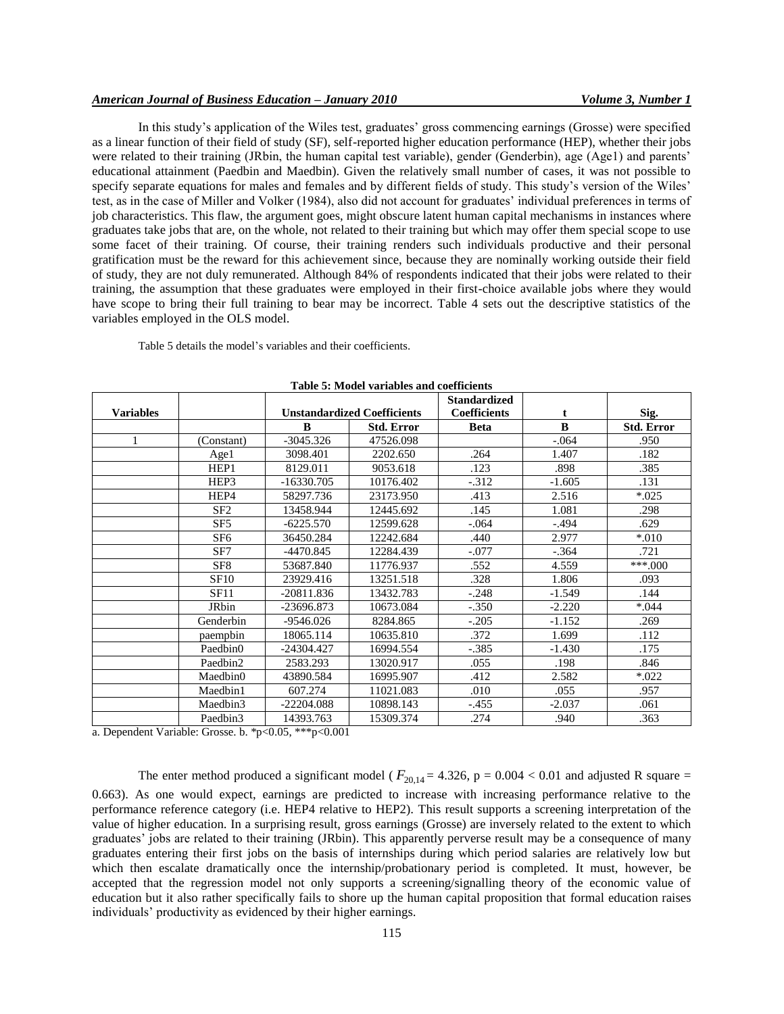# *American Journal of Business Education – January 2010 Volume 3, Number 1*

In this study's application of the Wiles test, graduates' gross commencing earnings (Grosse) were specified as a linear function of their field of study (SF), self-reported higher education performance (HEP), whether their jobs were related to their training (JRbin, the human capital test variable), gender (Genderbin), age (Age1) and parents' educational attainment (Paedbin and Maedbin). Given the relatively small number of cases, it was not possible to specify separate equations for males and females and by different fields of study. This study's version of the Wiles' test, as in the case of Miller and Volker (1984), also did not account for graduates' individual preferences in terms of job characteristics. This flaw, the argument goes, might obscure latent human capital mechanisms in instances where graduates take jobs that are, on the whole, not related to their training but which may offer them special scope to use some facet of their training. Of course, their training renders such individuals productive and their personal gratification must be the reward for this achievement since, because they are nominally working outside their field of study, they are not duly remunerated. Although 84% of respondents indicated that their jobs were related to their training, the assumption that these graduates were employed in their first-choice available jobs where they would have scope to bring their full training to bear may be incorrect. Table 4 sets out the descriptive statistics of the variables employed in the OLS model.

Table 5 details the model's variables and their coefficients.

| Table 5: Moder variables and coefficients |                 |                                    |                   |                     |          |                   |  |  |
|-------------------------------------------|-----------------|------------------------------------|-------------------|---------------------|----------|-------------------|--|--|
|                                           |                 |                                    |                   | <b>Standardized</b> |          |                   |  |  |
| <b>Variables</b>                          |                 | <b>Unstandardized Coefficients</b> |                   | <b>Coefficients</b> | t        | Sig.              |  |  |
|                                           |                 | B                                  | <b>Std. Error</b> | <b>Beta</b>         | $\bf{B}$ | <b>Std. Error</b> |  |  |
|                                           | (Constant)      | $-3045.326$                        | 47526.098         |                     | $-.064$  | .950              |  |  |
|                                           | Age1            | 3098.401                           | 2202.650          | .264                | 1.407    | .182              |  |  |
|                                           | HEP1            | 8129.011                           | 9053.618          | .123                | .898     | .385              |  |  |
|                                           | HEP3            | $-16330.705$                       | 10176.402         | $-.312$             | $-1.605$ | .131              |  |  |
|                                           | HEP4            | 58297.736                          | 23173.950         | .413                | 2.516    | $*0.025$          |  |  |
|                                           | SF2             | 13458.944                          | 12445.692         | .145                | 1.081    | .298              |  |  |
|                                           | SF <sub>5</sub> | $-6225.570$                        | 12599.628         | $-.064$             | -.494    | .629              |  |  |
|                                           | SF <sub>6</sub> | 36450.284                          | 12242.684         | .440                | 2.977    | $*010$            |  |  |
|                                           | SF7             | -4470.845                          | 12284.439         | $-.077$             | $-.364$  | .721              |  |  |
|                                           | SF <sub>8</sub> | 53687.840                          | 11776.937         | .552                | 4.559    | $***.000$         |  |  |
|                                           | SF10            | 23929.416                          | 13251.518         | .328                | 1.806    | .093              |  |  |
|                                           | SF11            | $-20811.836$                       | 13432.783         | $-.248$             | $-1.549$ | .144              |  |  |
|                                           | <b>JRbin</b>    | $-23696.873$                       | 10673.084         | $-.350$             | $-2.220$ | $*044$            |  |  |
|                                           | Genderbin       | $-9546.026$                        | 8284.865          | $-.205$             | $-1.152$ | .269              |  |  |
|                                           | paempbin        | 18065.114                          | 10635.810         | .372                | 1.699    | .112              |  |  |
|                                           | Paedbin0        | $-24304.427$                       | 16994.554         | $-.385$             | $-1.430$ | .175              |  |  |
|                                           | Paedbin2        | 2583.293                           | 13020.917         | .055                | .198     | .846              |  |  |
|                                           | Maedbin0        | 43890.584                          | 16995.907         | .412                | 2.582    | $*022$            |  |  |
|                                           | Maedbin1        | 607.274                            | 11021.083         | .010                | .055     | .957              |  |  |
|                                           | Maedbin3        | $-22204.088$                       | 10898.143         | $-.455$             | $-2.037$ | .061              |  |  |
|                                           | Paedbin3        | 14393.763                          | 15309.374         | .274                | .940     | .363              |  |  |

#### **Table 5: Model variables and coefficients**

a. Dependent Variable: Grosse. b. \*p<0.05, \*\*\*p<0.001

The enter method produced a significant model ( $F_{20,14}$  = 4.326, p = 0.004 < 0.01 and adjusted R square = 0.663). As one would expect, earnings are predicted to increase with increasing performance relative to the performance reference category (i.e. HEP4 relative to HEP2). This result supports a screening interpretation of the value of higher education. In a surprising result, gross earnings (Grosse) are inversely related to the extent to which graduates' jobs are related to their training (JRbin). This apparently perverse result may be a consequence of many graduates entering their first jobs on the basis of internships during which period salaries are relatively low but which then escalate dramatically once the internship/probationary period is completed. It must, however, be accepted that the regression model not only supports a screening/signalling theory of the economic value of education but it also rather specifically fails to shore up the human capital proposition that formal education raises individuals' productivity as evidenced by their higher earnings.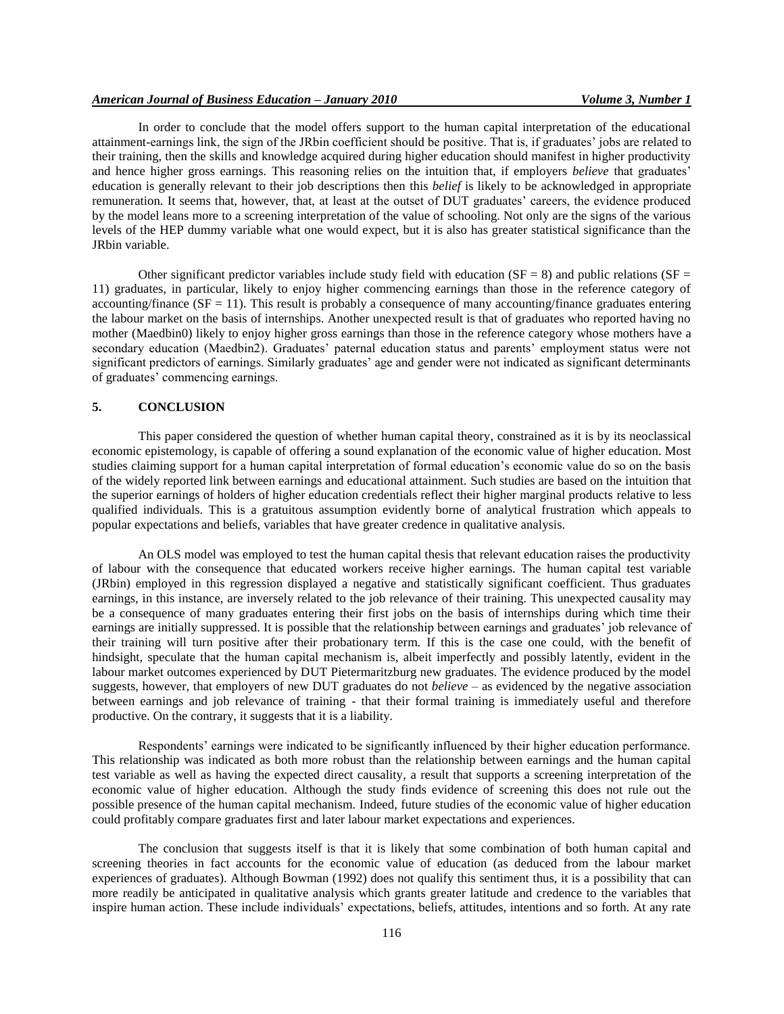In order to conclude that the model offers support to the human capital interpretation of the educational attainment-earnings link, the sign of the JRbin coefficient should be positive. That is, if graduates' jobs are related to their training, then the skills and knowledge acquired during higher education should manifest in higher productivity and hence higher gross earnings. This reasoning relies on the intuition that, if employers *believe* that graduates' education is generally relevant to their job descriptions then this *belief* is likely to be acknowledged in appropriate remuneration. It seems that, however, that, at least at the outset of DUT graduates' careers, the evidence produced by the model leans more to a screening interpretation of the value of schooling. Not only are the signs of the various levels of the HEP dummy variable what one would expect, but it is also has greater statistical significance than the JRbin variable.

Other significant predictor variables include study field with education ( $SF = 8$ ) and public relations ( $SF =$ 11) graduates, in particular, likely to enjoy higher commencing earnings than those in the reference category of accounting/finance ( $SF = 11$ ). This result is probably a consequence of many accounting/finance graduates entering the labour market on the basis of internships. Another unexpected result is that of graduates who reported having no mother (Maedbin0) likely to enjoy higher gross earnings than those in the reference category whose mothers have a secondary education (Maedbin2). Graduates' paternal education status and parents' employment status were not significant predictors of earnings. Similarly graduates' age and gender were not indicated as significant determinants of graduates' commencing earnings.

## **5. CONCLUSION**

This paper considered the question of whether human capital theory, constrained as it is by its neoclassical economic epistemology, is capable of offering a sound explanation of the economic value of higher education. Most studies claiming support for a human capital interpretation of formal education's economic value do so on the basis of the widely reported link between earnings and educational attainment. Such studies are based on the intuition that the superior earnings of holders of higher education credentials reflect their higher marginal products relative to less qualified individuals. This is a gratuitous assumption evidently borne of analytical frustration which appeals to popular expectations and beliefs, variables that have greater credence in qualitative analysis.

An OLS model was employed to test the human capital thesis that relevant education raises the productivity of labour with the consequence that educated workers receive higher earnings. The human capital test variable (JRbin) employed in this regression displayed a negative and statistically significant coefficient. Thus graduates earnings, in this instance, are inversely related to the job relevance of their training. This unexpected causality may be a consequence of many graduates entering their first jobs on the basis of internships during which time their earnings are initially suppressed. It is possible that the relationship between earnings and graduates' job relevance of their training will turn positive after their probationary term. If this is the case one could, with the benefit of hindsight, speculate that the human capital mechanism is, albeit imperfectly and possibly latently, evident in the labour market outcomes experienced by DUT Pietermaritzburg new graduates. The evidence produced by the model suggests, however, that employers of new DUT graduates do not *believe* – as evidenced by the negative association between earnings and job relevance of training - that their formal training is immediately useful and therefore productive. On the contrary, it suggests that it is a liability.

Respondents' earnings were indicated to be significantly influenced by their higher education performance. This relationship was indicated as both more robust than the relationship between earnings and the human capital test variable as well as having the expected direct causality, a result that supports a screening interpretation of the economic value of higher education. Although the study finds evidence of screening this does not rule out the possible presence of the human capital mechanism. Indeed, future studies of the economic value of higher education could profitably compare graduates first and later labour market expectations and experiences.

The conclusion that suggests itself is that it is likely that some combination of both human capital and screening theories in fact accounts for the economic value of education (as deduced from the labour market experiences of graduates). Although Bowman (1992) does not qualify this sentiment thus, it is a possibility that can more readily be anticipated in qualitative analysis which grants greater latitude and credence to the variables that inspire human action. These include individuals' expectations, beliefs, attitudes, intentions and so forth. At any rate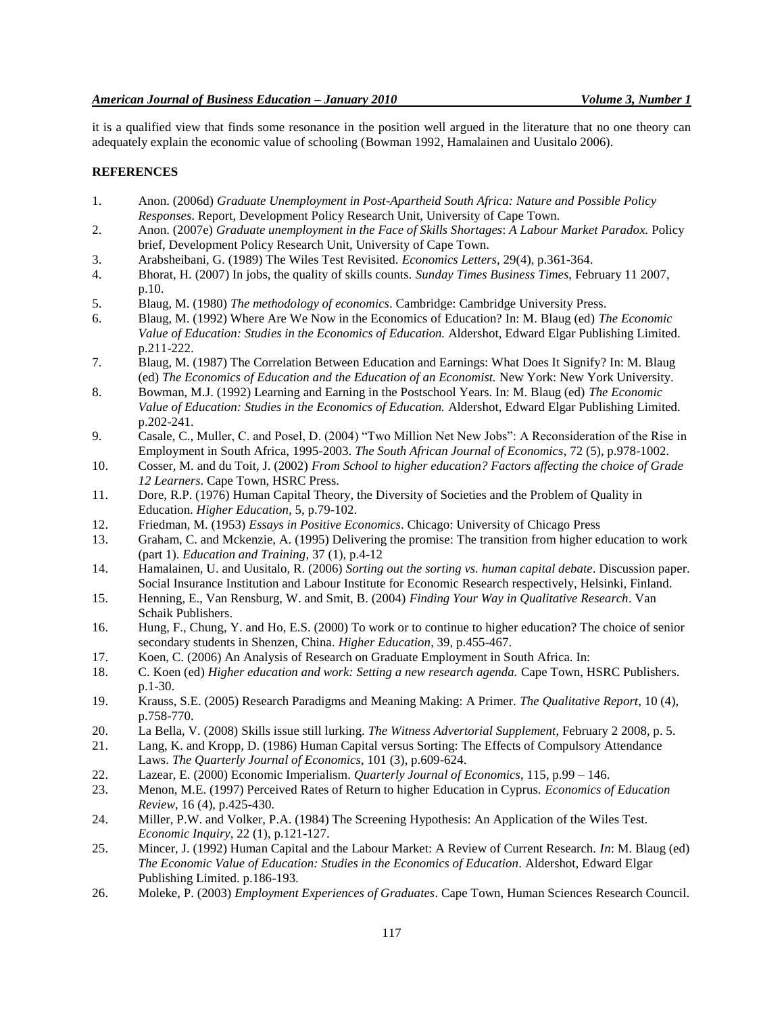it is a qualified view that finds some resonance in the position well argued in the literature that no one theory can adequately explain the economic value of schooling (Bowman 1992, Hamalainen and Uusitalo 2006).

#### **REFERENCES**

- 1. Anon. (2006d) *Graduate Unemployment in Post-Apartheid South Africa: Nature and Possible Policy Responses*. Report, Development Policy Research Unit, University of Cape Town.
- 2. Anon. (2007e) *Graduate unemployment in the Face of Skills Shortages*: *A Labour Market Paradox.* Policy brief, Development Policy Research Unit, University of Cape Town.
- 3. Arabsheibani, G. (1989) The Wiles Test Revisited. *Economics Letters*, 29(4), p.361-364.
- 4. Bhorat, H. (2007) In jobs, the quality of skills counts. *Sunday Times Business Times*, February 11 2007, p.10.
- 5. Blaug, M. (1980) *The methodology of economics*. Cambridge: Cambridge University Press.
- 6. Blaug, M. (1992) Where Are We Now in the Economics of Education? In: M. Blaug (ed) *The Economic Value of Education: Studies in the Economics of Education.* Aldershot, Edward Elgar Publishing Limited. p.211-222.
- 7. Blaug, M. (1987) The Correlation Between Education and Earnings: What Does It Signify? In: M. Blaug (ed) *The Economics of Education and the Education of an Economist.* New York: New York University.
- 8. Bowman, M.J. (1992) Learning and Earning in the Postschool Years. In: M. Blaug (ed) *The Economic Value of Education: Studies in the Economics of Education.* Aldershot, Edward Elgar Publishing Limited. p.202-241.
- 9. Casale, C., Muller, C. and Posel, D. (2004) "Two Million Net New Jobs": A Reconsideration of the Rise in Employment in South Africa, 1995-2003. *The South African Journal of Economics*, 72 (5), p.978-1002.
- 10. Cosser, M. and du Toit, J. (2002) *From School to higher education? Factors affecting the choice of Grade 12 Learners*. Cape Town, HSRC Press.
- 11. Dore, R.P. (1976) Human Capital Theory, the Diversity of Societies and the Problem of Quality in Education. *Higher Education*, 5, p.79-102.
- 12. Friedman, M. (1953) *Essays in Positive Economics*. Chicago: University of Chicago Press
- 13. Graham, C. and Mckenzie, A. (1995) Delivering the promise: The transition from higher education to work (part 1). *Education and Training*, 37 (1), p.4-12
- 14. Hamalainen, U. and Uusitalo, R. (2006) *Sorting out the sorting vs. human capital debate*. Discussion paper. Social Insurance Institution and Labour Institute for Economic Research respectively, Helsinki, Finland.
- 15. Henning, E., Van Rensburg, W. and Smit, B. (2004) *Finding Your Way in Qualitative Research*. Van Schaik Publishers.
- 16. Hung, F., Chung, Y. and Ho, E.S. (2000) To work or to continue to higher education? The choice of senior secondary students in Shenzen, China. *Higher Education*, 39, p.455-467.
- 17. Koen, C. (2006) An Analysis of Research on Graduate Employment in South Africa. In:
- 18. C. Koen (ed) *Higher education and work: Setting a new research agenda.* Cape Town, HSRC Publishers. p.1-30.
- 19. Krauss, S.E. (2005) Research Paradigms and Meaning Making: A Primer. *The Qualitative Report*, 10 (4), p.758-770.
- 20. La Bella, V. (2008) Skills issue still lurking. *The Witness Advertorial Supplement*, February 2 2008, p. 5.
- 21. Lang, K. and Kropp, D. (1986) Human Capital versus Sorting: The Effects of Compulsory Attendance Laws. *The Quarterly Journal of Economics*, 101 (3), p.609-624.
- 22. Lazear, E. (2000) Economic Imperialism. *Quarterly Journal of Economics*, 115, p.99 146.
- 23. Menon, M.E. (1997) Perceived Rates of Return to higher Education in Cyprus. *Economics of Education Review*, 16 (4), p.425-430.
- 24. Miller, P.W. and Volker, P.A. (1984) The Screening Hypothesis: An Application of the Wiles Test. *Economic Inquiry*, 22 (1), p.121-127.
- 25. Mincer, J. (1992) Human Capital and the Labour Market: A Review of Current Research. *In*: M. Blaug (ed) *The Economic Value of Education: Studies in the Economics of Education.* Aldershot, Edward Elgar Publishing Limited. p.186-193.
- 26. Moleke, P. (2003) *Employment Experiences of Graduates*. Cape Town, Human Sciences Research Council.